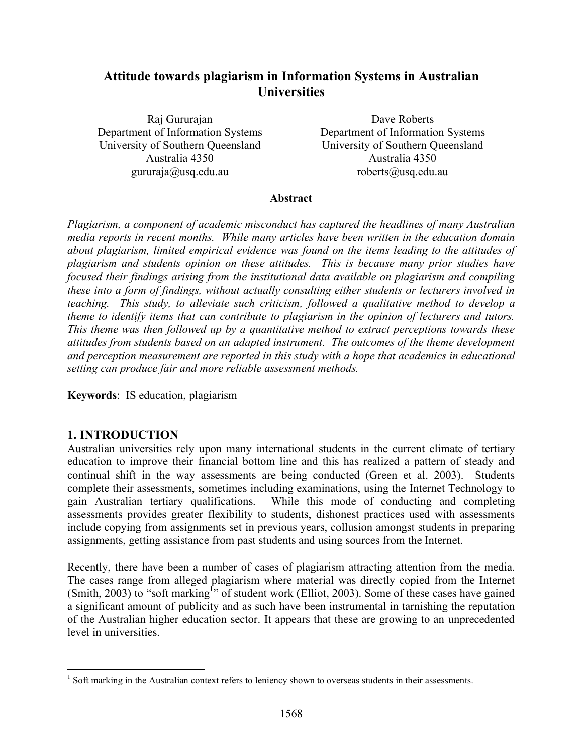# **Attitude towards plagiarism in Information Systems in Australian Universities**

Raj Gururajan Department of Information Systems University of Southern Queensland Australia 4350 gururaja@usq.edu.au

Dave Roberts Department of Information Systems University of Southern Queensland Australia 4350 roberts@usq.edu.au

#### **Abstract**

*Plagiarism, a component of academic misconduct has captured the headlines of many Australian media reports in recent months. While many articles have been written in the education domain about plagiarism, limited empirical evidence was found on the items leading to the attitudes of plagiarism and students opinion on these attitudes. This is because many prior studies have focused their findings arising from the institutional data available on plagiarism and compiling these into a form of findings, without actually consulting either students or lecturers involved in teaching. This study, to alleviate such criticism, followed a qualitative method to develop a theme to identify items that can contribute to plagiarism in the opinion of lecturers and tutors. This theme was then followed up by a quantitative method to extract perceptions towards these attitudes from students based on an adapted instrument. The outcomes of the theme development and perception measurement are reported in this study with a hope that academics in educational setting can produce fair and more reliable assessment methods.*

**Keywords**: IS education, plagiarism

#### **1. INTRODUCTION**

Australian universities rely upon many international students in the current climate of tertiary education to improve their financial bottom line and this has realized a pattern of steady and continual shift in the way assessments are being conducted (Green et al. 2003). Students complete their assessments, sometimes including examinations, using the Internet Technology to gain Australian tertiary qualifications. While this mode of conducting and completing assessments provides greater flexibility to students, dishonest practices used with assessments include copying from assignments set in previous years, collusion amongst students in preparing assignments, getting assistance from past students and using sources from the Internet.

Recently, there have been a number of cases of plagiarism attracting attention from the media. The cases range from alleged plagiarism where material was directly copied from the Internet (Smith, 2003) to "soft marking<sup>1</sup>" of student work (Elliot, 2003). Some of these cases have gained a significant amount of publicity and as such have been instrumental in tarnishing the reputation of the Australian higher education sector. It appears that these are growing to an unprecedented level in universities.

 $1$  Soft marking in the Australian context refers to leniency shown to overseas students in their assessments.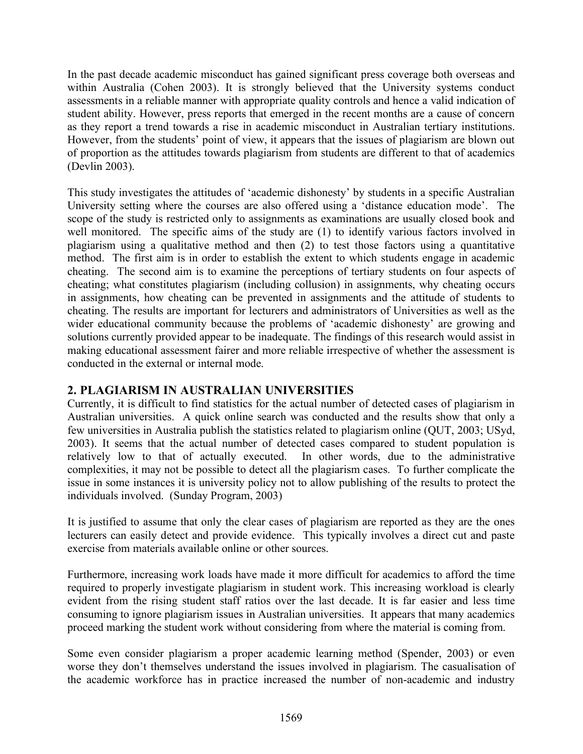In the past decade academic misconduct has gained significant press coverage both overseas and within Australia (Cohen 2003). It is strongly believed that the University systems conduct assessments in a reliable manner with appropriate quality controls and hence a valid indication of student ability. However, press reports that emerged in the recent months are a cause of concern as they report a trend towards a rise in academic misconduct in Australian tertiary institutions. However, from the students' point of view, it appears that the issues of plagiarism are blown out of proportion as the attitudes towards plagiarism from students are different to that of academics (Devlin 2003).

This study investigates the attitudes of 'academic dishonesty' by students in a specific Australian University setting where the courses are also offered using a 'distance education mode'. The scope of the study is restricted only to assignments as examinations are usually closed book and well monitored. The specific aims of the study are (1) to identify various factors involved in plagiarism using a qualitative method and then (2) to test those factors using a quantitative method. The first aim is in order to establish the extent to which students engage in academic cheating. The second aim is to examine the perceptions of tertiary students on four aspects of cheating; what constitutes plagiarism (including collusion) in assignments, why cheating occurs in assignments, how cheating can be prevented in assignments and the attitude of students to cheating. The results are important for lecturers and administrators of Universities as well as the wider educational community because the problems of 'academic dishonesty' are growing and solutions currently provided appear to be inadequate. The findings of this research would assist in making educational assessment fairer and more reliable irrespective of whether the assessment is conducted in the external or internal mode.

## **2. PLAGIARISM IN AUSTRALIAN UNIVERSITIES**

Currently, it is difficult to find statistics for the actual number of detected cases of plagiarism in Australian universities. A quick online search was conducted and the results show that only a few universities in Australia publish the statistics related to plagiarism online (QUT, 2003; USyd, 2003). It seems that the actual number of detected cases compared to student population is relatively low to that of actually executed. In other words, due to the administrative complexities, it may not be possible to detect all the plagiarism cases. To further complicate the issue in some instances it is university policy not to allow publishing of the results to protect the individuals involved. (Sunday Program, 2003)

It is justified to assume that only the clear cases of plagiarism are reported as they are the ones lecturers can easily detect and provide evidence. This typically involves a direct cut and paste exercise from materials available online or other sources.

Furthermore, increasing work loads have made it more difficult for academics to afford the time required to properly investigate plagiarism in student work. This increasing workload is clearly evident from the rising student staff ratios over the last decade. It is far easier and less time consuming to ignore plagiarism issues in Australian universities. It appears that many academics proceed marking the student work without considering from where the material is coming from.

Some even consider plagiarism a proper academic learning method (Spender, 2003) or even worse they don't themselves understand the issues involved in plagiarism. The casualisation of the academic workforce has in practice increased the number of non-academic and industry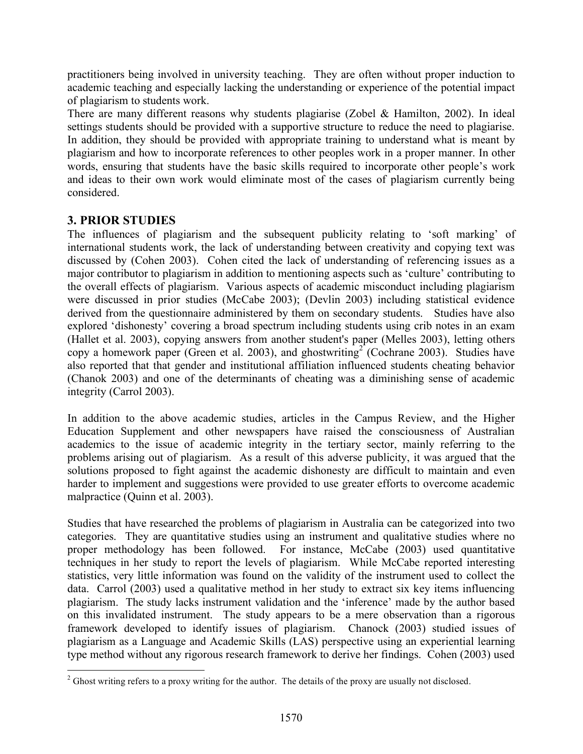practitioners being involved in university teaching. They are often without proper induction to academic teaching and especially lacking the understanding or experience of the potential impact of plagiarism to students work.

There are many different reasons why students plagiarise (Zobel & Hamilton, 2002). In ideal settings students should be provided with a supportive structure to reduce the need to plagiarise. In addition, they should be provided with appropriate training to understand what is meant by plagiarism and how to incorporate references to other peoples work in a proper manner. In other words, ensuring that students have the basic skills required to incorporate other people's work and ideas to their own work would eliminate most of the cases of plagiarism currently being considered.

# **3. PRIOR STUDIES**

The influences of plagiarism and the subsequent publicity relating to 'soft marking' of international students work, the lack of understanding between creativity and copying text was discussed by (Cohen 2003). Cohen cited the lack of understanding of referencing issues as a major contributor to plagiarism in addition to mentioning aspects such as 'culture' contributing to the overall effects of plagiarism. Various aspects of academic misconduct including plagiarism were discussed in prior studies (McCabe 2003); (Devlin 2003) including statistical evidence derived from the questionnaire administered by them on secondary students. Studies have also explored 'dishonesty' covering a broad spectrum including students using crib notes in an exam (Hallet et al. 2003), copying answers from another student's paper (Melles 2003), letting others copy a homework paper (Green et al. 2003), and ghostwriting <sup>2</sup> (Cochrane 2003). Studies have also reported that that gender and institutional affiliation influenced students cheating behavior (Chanok 2003) and one of the determinants of cheating was a diminishing sense of academic integrity (Carrol 2003).

In addition to the above academic studies, articles in the Campus Review, and the Higher Education Supplement and other newspapers have raised the consciousness of Australian academics to the issue of academic integrity in the tertiary sector, mainly referring to the problems arising out of plagiarism. As a result of this adverse publicity, it was argued that the solutions proposed to fight against the academic dishonesty are difficult to maintain and even harder to implement and suggestions were provided to use greater efforts to overcome academic malpractice (Quinn et al. 2003).

Studies that have researched the problems of plagiarism in Australia can be categorized into two categories. They are quantitative studies using an instrument and qualitative studies where no proper methodology has been followed. For instance, McCabe (2003) used quantitative techniques in her study to report the levels of plagiarism. While McCabe reported interesting statistics, very little information was found on the validity of the instrument used to collect the data. Carrol (2003) used a qualitative method in her study to extract six key items influencing plagiarism. The study lacks instrument validation and the 'inference' made by the author based on this invalidated instrument. The study appears to be a mere observation than a rigorous framework developed to identify issues of plagiarism. Chanock (2003) studied issues of plagiarism as a Language and Academic Skills (LAS) perspective using an experiential learning type method without any rigorous research framework to derive her findings. Cohen (2003) used

<sup>&</sup>lt;sup>2</sup> Ghost writing refers to a proxy writing for the author. The details of the proxy are usually not disclosed.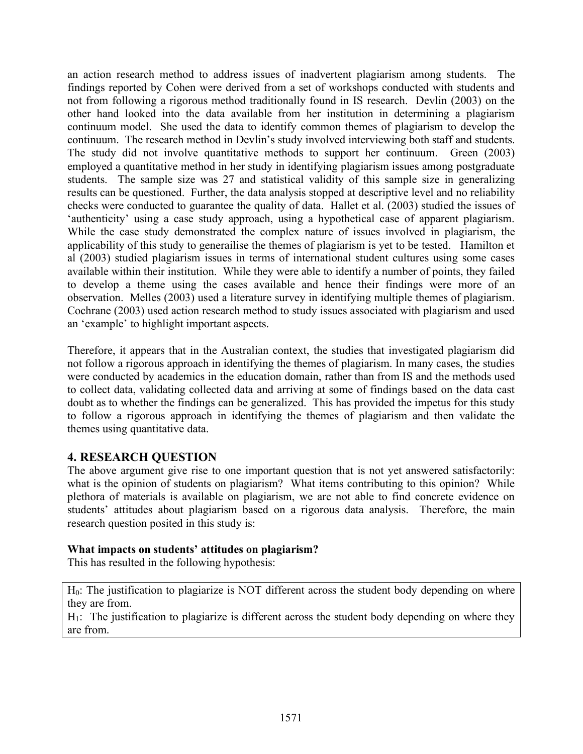an action research method to address issues of inadvertent plagiarism among students. The findings reported by Cohen were derived from a set of workshops conducted with students and not from following a rigorous method traditionally found in IS research. Devlin (2003) on the other hand looked into the data available from her institution in determining a plagiarism continuum model. She used the data to identify common themes of plagiarism to develop the continuum. The research method in Devlin's study involved interviewing both staff and students. The study did not involve quantitative methods to support her continuum. Green (2003) employed a quantitative method in her study in identifying plagiarism issues among postgraduate students. The sample size was 27 and statistical validity of this sample size in generalizing results can be questioned. Further, the data analysis stopped at descriptive level and no reliability checks were conducted to guarantee the quality of data. Hallet et al. (2003) studied the issues of 'authenticity' using a case study approach, using a hypothetical case of apparent plagiarism. While the case study demonstrated the complex nature of issues involved in plagiarism, the applicability of this study to generailise the themes of plagiarism is yet to be tested. Hamilton et al (2003) studied plagiarism issues in terms of international student cultures using some cases available within their institution. While they were able to identify a number of points, they failed to develop a theme using the cases available and hence their findings were more of an observation. Melles (2003) used a literature survey in identifying multiple themes of plagiarism. Cochrane (2003) used action research method to study issues associated with plagiarism and used an 'example' to highlight important aspects.

Therefore, it appears that in the Australian context, the studies that investigated plagiarism did not follow a rigorous approach in identifying the themes of plagiarism. In many cases, the studies were conducted by academics in the education domain, rather than from IS and the methods used to collect data, validating collected data and arriving at some of findings based on the data cast doubt as to whether the findings can be generalized. This has provided the impetus for this study to follow a rigorous approach in identifying the themes of plagiarism and then validate the themes using quantitative data.

#### **4. RESEARCH QUESTION**

The above argument give rise to one important question that is not yet answered satisfactorily: what is the opinion of students on plagiarism? What items contributing to this opinion? While plethora of materials is available on plagiarism, we are not able to find concrete evidence on students' attitudes about plagiarism based on a rigorous data analysis. Therefore, the main research question posited in this study is:

#### **What impacts on students' attitudes on plagiarism?**

This has resulted in the following hypothesis:

H<sub>0</sub>: The justification to plagiarize is NOT different across the student body depending on where they are from.

 $H_1$ : The justification to plagiarize is different across the student body depending on where they are from.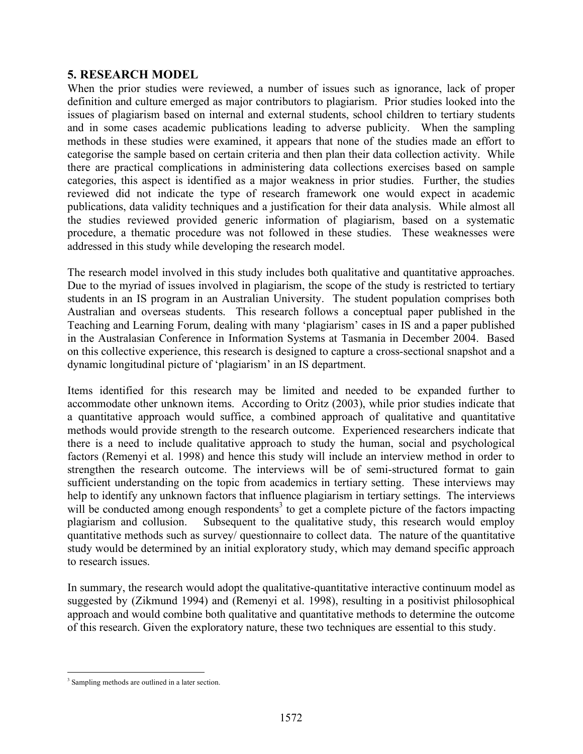## **5. RESEARCH MODEL**

When the prior studies were reviewed, a number of issues such as ignorance, lack of proper definition and culture emerged as major contributors to plagiarism. Prior studies looked into the issues of plagiarism based on internal and external students, school children to tertiary students and in some cases academic publications leading to adverse publicity. When the sampling methods in these studies were examined, it appears that none of the studies made an effort to categorise the sample based on certain criteria and then plan their data collection activity. While there are practical complications in administering data collections exercises based on sample categories, this aspect is identified as a major weakness in prior studies. Further, the studies reviewed did not indicate the type of research framework one would expect in academic publications, data validity techniques and a justification for their data analysis. While almost all the studies reviewed provided generic information of plagiarism, based on a systematic procedure, a thematic procedure was not followed in these studies. These weaknesses were addressed in this study while developing the research model.

The research model involved in this study includes both qualitative and quantitative approaches. Due to the myriad of issues involved in plagiarism, the scope of the study is restricted to tertiary students in an IS program in an Australian University. The student population comprises both Australian and overseas students. This research follows a conceptual paper published in the Teaching and Learning Forum, dealing with many 'plagiarism' cases in IS and a paper published in the Australasian Conference in Information Systems at Tasmania in December 2004. Based on this collective experience, this research is designed to capture a cross-sectional snapshot and a dynamic longitudinal picture of 'plagiarism' in an IS department.

Items identified for this research may be limited and needed to be expanded further to accommodate other unknown items. According to Oritz (2003), while prior studies indicate that a quantitative approach would suffice, a combined approach of qualitative and quantitative methods would provide strength to the research outcome. Experienced researchers indicate that there is a need to include qualitative approach to study the human, social and psychological factors (Remenyi et al. 1998) and hence this study will include an interview method in order to strengthen the research outcome. The interviews will be of semi-structured format to gain sufficient understanding on the topic from academics in tertiary setting. These interviews may help to identify any unknown factors that influence plagiarism in tertiary settings. The interviews will be conducted among enough respondents<sup>3</sup> to get a complete picture of the factors impacting plagiarism and collusion. Subsequent to the qualitative study, this research would employ quantitative methods such as survey/ questionnaire to collect data. The nature of the quantitative study would be determined by an initial exploratory study, which may demand specific approach to research issues.

In summary, the research would adopt the qualitative-quantitative interactive continuum model as suggested by (Zikmund 1994) and (Remenyi et al. 1998), resulting in a positivist philosophical approach and would combine both qualitative and quantitative methods to determine the outcome of this research. Given the exploratory nature, these two techniques are essential to this study.

 <sup>3</sup> Sampling methods are outlined in <sup>a</sup> later section.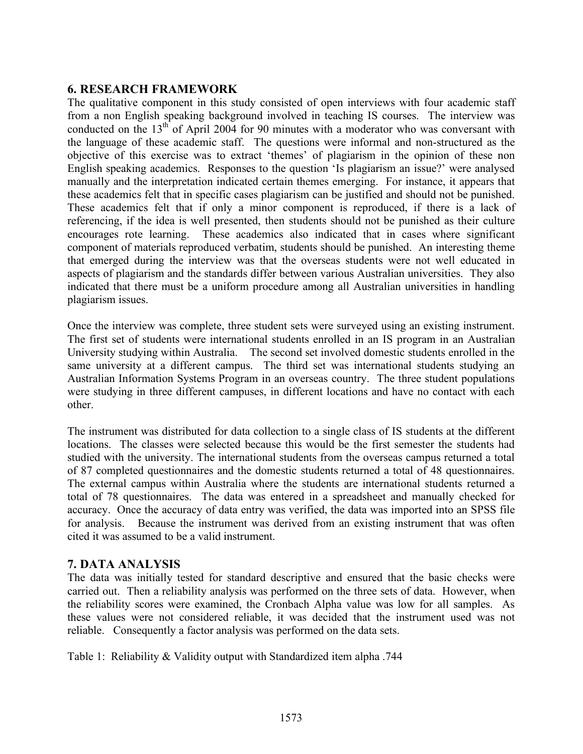## **6. RESEARCH FRAMEWORK**

The qualitative component in this study consisted of open interviews with four academic staff from a non English speaking background involved in teaching IS courses. The interview was conducted on the  $13<sup>th</sup>$  of April 2004 for 90 minutes with a moderator who was conversant with the language of these academic staff. The questions were informal and non-structured as the objective of this exercise was to extract 'themes' of plagiarism in the opinion of these non English speaking academics. Responses to the question 'Is plagiarism an issue?' were analysed manually and the interpretation indicated certain themes emerging. For instance, it appears that these academics felt that in specific cases plagiarism can be justified and should not be punished. These academics felt that if only a minor component is reproduced, if there is a lack of referencing, if the idea is well presented, then students should not be punished as their culture encourages rote learning. These academics also indicated that in cases where significant component of materials reproduced verbatim, students should be punished. An interesting theme that emerged during the interview was that the overseas students were not well educated in aspects of plagiarism and the standards differ between various Australian universities. They also indicated that there must be a uniform procedure among all Australian universities in handling plagiarism issues.

Once the interview was complete, three student sets were surveyed using an existing instrument. The first set of students were international students enrolled in an IS program in an Australian University studying within Australia. The second set involved domestic students enrolled in the same university at a different campus. The third set was international students studying an Australian Information Systems Program in an overseas country. The three student populations were studying in three different campuses, in different locations and have no contact with each other.

The instrument was distributed for data collection to a single class of IS students at the different locations. The classes were selected because this would be the first semester the students had studied with the university. The international students from the overseas campus returned a total of 87 completed questionnaires and the domestic students returned a total of 48 questionnaires. The external campus within Australia where the students are international students returned a total of 78 questionnaires. The data was entered in a spreadsheet and manually checked for accuracy. Once the accuracy of data entry was verified, the data was imported into an SPSS file for analysis. Because the instrument was derived from an existing instrument that was often cited it was assumed to be a valid instrument.

#### **7. DATA ANALYSIS**

The data was initially tested for standard descriptive and ensured that the basic checks were carried out. Then a reliability analysis was performed on the three sets of data. However, when the reliability scores were examined, the Cronbach Alpha value was low for all samples. As these values were not considered reliable, it was decided that the instrument used was not reliable. Consequently a factor analysis was performed on the data sets.

Table 1: Reliability & Validity output with Standardized item alpha .744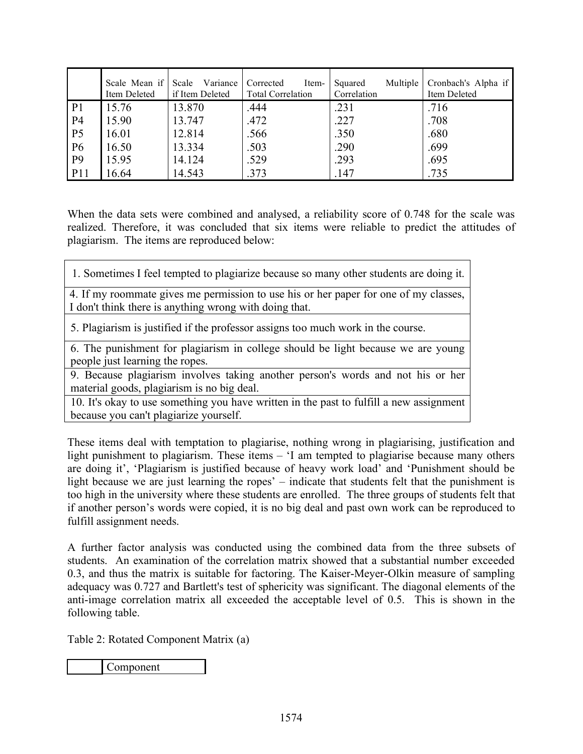|                | Scale Mean if<br>Item Deleted | Scale Variance<br>if Item Deleted | Corrected<br>Item-<br><b>Total Correlation</b> | Multiple<br>Squared<br>Correlation | Cronbach's Alpha if<br>Item Deleted |
|----------------|-------------------------------|-----------------------------------|------------------------------------------------|------------------------------------|-------------------------------------|
| P <sub>1</sub> | 15.76                         | 13.870                            | .444                                           | .231                               | .716                                |
| P <sub>4</sub> | 15.90                         | 13.747                            | .472                                           | .227                               | .708                                |
| P <sub>5</sub> | 16.01                         | 12.814                            | .566                                           | .350                               | .680                                |
| <b>P6</b>      | 16.50                         | 13.334                            | .503                                           | .290                               | .699                                |
| P <sub>9</sub> | 15.95                         | 14.124                            | .529                                           | .293                               | .695                                |
| <b>P11</b>     | 16.64                         | 14.543                            | .373                                           | .147                               | .735                                |

When the data sets were combined and analysed, a reliability score of 0.748 for the scale was realized. Therefore, it was concluded that six items were reliable to predict the attitudes of plagiarism. The items are reproduced below:

1. Sometimes I feel tempted to plagiarize because so many other students are doing it.

4. If my roommate gives me permission to use his or her paper for one of my classes, I don't think there is anything wrong with doing that.

5. Plagiarism is justified if the professor assigns too much work in the course.

6. The punishment for plagiarism in college should be light because we are young people just learning the ropes.

9. Because plagiarism involves taking another person's words and not his or her material goods, plagiarism is no big deal.

10. It's okay to use something you have written in the past to fulfill a new assignment because you can't plagiarize yourself.

These items deal with temptation to plagiarise, nothing wrong in plagiarising, justification and light punishment to plagiarism. These items – 'I am tempted to plagiarise because many others are doing it', 'Plagiarism is justified because of heavy work load' and 'Punishment should be light because we are just learning the ropes' – indicate that students felt that the punishment is too high in the university where these students are enrolled. The three groups of students felt that if another person's words were copied, it is no big deal and past own work can be reproduced to fulfill assignment needs.

A further factor analysis was conducted using the combined data from the three subsets of students. An examination of the correlation matrix showed that a substantial number exceeded 0.3, and thus the matrix is suitable for factoring. The Kaiser-Meyer-Olkin measure of sampling adequacy was 0.727 and Bartlett's test of sphericity was significant. The diagonal elements of the anti-image correlation matrix all exceeded the acceptable level of 0.5. This is shown in the following table.

Table 2: Rotated Component Matrix (a)

Component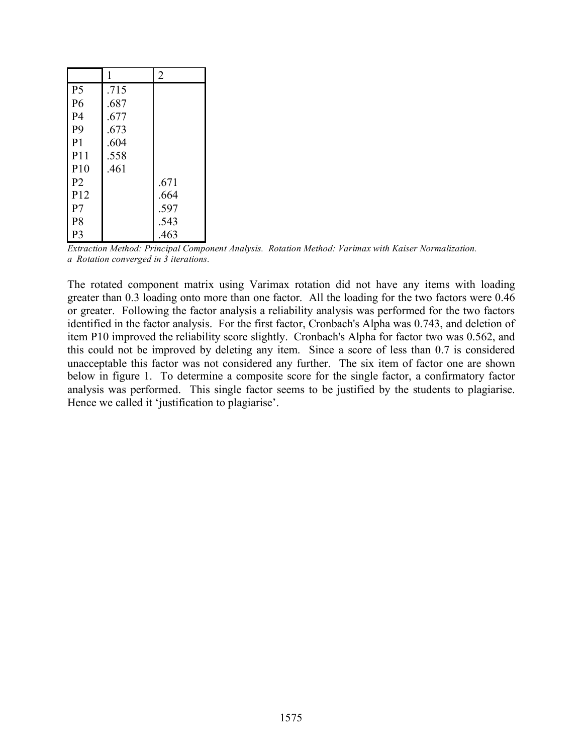|                 | 1    | $\overline{2}$ |
|-----------------|------|----------------|
| P <sub>5</sub>  | .715 |                |
| P <sub>6</sub>  | .687 |                |
| P <sub>4</sub>  | .677 |                |
| P <sub>9</sub>  | .673 |                |
| P <sub>1</sub>  | .604 |                |
| P11             | .558 |                |
| P10             | .461 |                |
| P <sub>2</sub>  |      | .671           |
| P <sub>12</sub> |      | .664           |
| P <sub>7</sub>  |      | .597           |
| P <sub>8</sub>  |      | .543           |
| P <sub>3</sub>  |      | .463           |

*Extraction Method: Principal Component Analysis. Rotation Method: Varimax with Kaiser Normalization. a Rotation converged in 3 iterations.*

The rotated component matrix using Varimax rotation did not have any items with loading greater than 0.3 loading onto more than one factor. All the loading for the two factors were 0.46 or greater. Following the factor analysis a reliability analysis was performed for the two factors identified in the factor analysis. For the first factor, Cronbach's Alpha was 0.743, and deletion of item P10 improved the reliability score slightly. Cronbach's Alpha for factor two was 0.562, and this could not be improved by deleting any item. Since a score of less than 0.7 is considered unacceptable this factor was not considered any further. The six item of factor one are shown below in figure 1. To determine a composite score for the single factor, a confirmatory factor analysis was performed. This single factor seems to be justified by the students to plagiarise. Hence we called it 'justification to plagiarise'.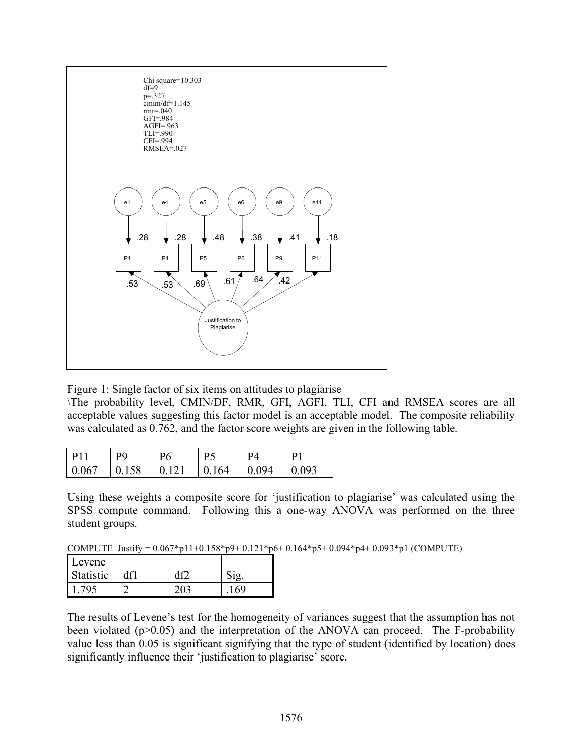

Figure 1: Single factor of six items on attitudes to plagiarise

\The probability level, CMIN/DF, RMR, GFI, AGFI, TLI, CFI and RMSEA scores are all acceptable values suggesting this factor model is an acceptable model. The composite reliability was calculated as 0.762, and the factor score weights are given in the following table.

| P11   | <b>PQ</b> | P6    | P5    | PΔ              | D <sub>1</sub> |
|-------|-----------|-------|-------|-----------------|----------------|
| 0.067 | 0.158     | 10121 | 0.164 | $\bigcup$ 0.094 | 0.093          |

Using these weights a composite score for 'justification to plagiarise' was calculated using the SPSS compute command. Following this a one-way ANOVA was performed on the three student groups.

COMPUTE Justify = 0.067\*p11+0.158\*p9+ 0.121\*p6+ 0.164\*p5+ 0.094\*p4+ 0.093\*p1 (COMPUTE)

| Levene    |     |     |     |
|-----------|-----|-----|-----|
| Statistic | df1 |     |     |
| 795       |     | 203 | 169 |

The results of Levene's test for the homogeneity of variances suggest that the assumption has not been violated  $(p>0.05)$  and the interpretation of the ANOVA can proceed. The F-probability value less than 0.05 is significant signifying that the type of student (identified by location) does significantly influence their 'justification to plagiarise' score.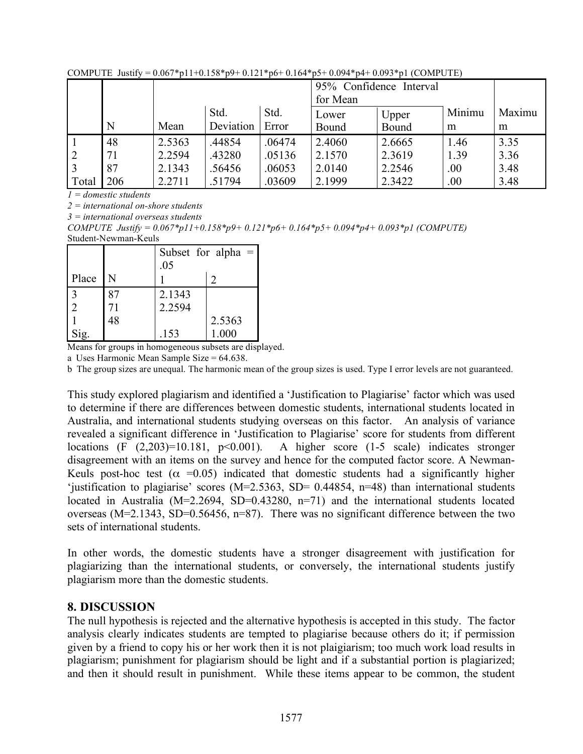|       |     |        |           | 95% Confidence Interval |          |        |        |        |
|-------|-----|--------|-----------|-------------------------|----------|--------|--------|--------|
|       |     |        |           |                         | for Mean |        |        |        |
|       |     |        | Std.      | Std.                    | Lower    | Upper  | Minimu | Maximu |
|       | N   | Mean   | Deviation | Error                   | Bound    | Bound  | m      | m      |
|       | 48  | 2.5363 | .44854    | .06474                  | 2.4060   | 2.6665 | 1.46   | 3.35   |
|       | 71  | 2.2594 | .43280    | .05136                  | 2.1570   | 2.3619 | 1.39   | 3.36   |
|       | 87  | 2.1343 | .56456    | .06053                  | 2.0140   | 2.2546 | .00    | 3.48   |
| Total | 206 | 2.2711 | 51794     | .03609                  | 2.1999   | 2.3422 | .00    | 3.48   |

COMPUTE Justify =  $0.067 * p11 + 0.158 * p9 + 0.121 * p6 + 0.164 * p5 + 0.094 * p4 + 0.093 * p1$  (COMPUTE)

*1 = domestic students*

*2 = international on-shore students*

*3 = international overseas students*

*COMPUTE Justify = 0.067\*p11+0.158\*p9+ 0.121\*p6+ 0.164\*p5+ 0.094\*p4+ 0.093\*p1 (COMPUTE)*

Student-Newman-Keuls

|                       |    | Subset for alpha $=$<br>.05 |        |  |
|-----------------------|----|-----------------------------|--------|--|
| Place $\vert N \vert$ |    |                             |        |  |
|                       | 87 | 2.1343                      |        |  |
|                       | 71 | 2.2594                      |        |  |
|                       | 48 |                             | 2.5363 |  |
|                       |    | .153                        | 000    |  |

Means for groups in homogeneous subsets are displayed.

a Uses Harmonic Mean Sample Size = 64.638.

b The group sizes are unequal. The harmonic mean of the group sizes is used. Type I error levels are not guaranteed.

This study explored plagiarism and identified a 'Justification to Plagiarise' factor which was used to determine if there are differences between domestic students, international students located in Australia, and international students studying overseas on this factor. An analysis of variance revealed a significant difference in 'Justification to Plagiarise' score for students from different locations (F  $(2,203)=10.181$ ,  $p<0.001$ ). A higher score  $(1-5)$  scale) indicates stronger disagreement with an items on the survey and hence for the computed factor score. A Newman-Keuls post-hoc test ( $\alpha$  =0.05) indicated that domestic students had a significantly higher 'justification to plagiarise' scores (M=2.5363, SD= 0.44854, n=48) than international students located in Australia  $(M=2.2694, SD=0.43280, n=71)$  and the international students located overseas ( $M=2.1343$ ,  $SD=0.56456$ ,  $n=87$ ). There was no significant difference between the two sets of international students.

In other words, the domestic students have a stronger disagreement with justification for plagiarizing than the international students, or conversely, the international students justify plagiarism more than the domestic students.

#### **8. DISCUSSION**

The null hypothesis is rejected and the alternative hypothesis is accepted in this study. The factor analysis clearly indicates students are tempted to plagiarise because others do it; if permission given by a friend to copy his or her work then it is not plaigiarism; too much work load results in plagiarism; punishment for plagiarism should be light and if a substantial portion is plagiarized; and then it should result in punishment. While these items appear to be common, the student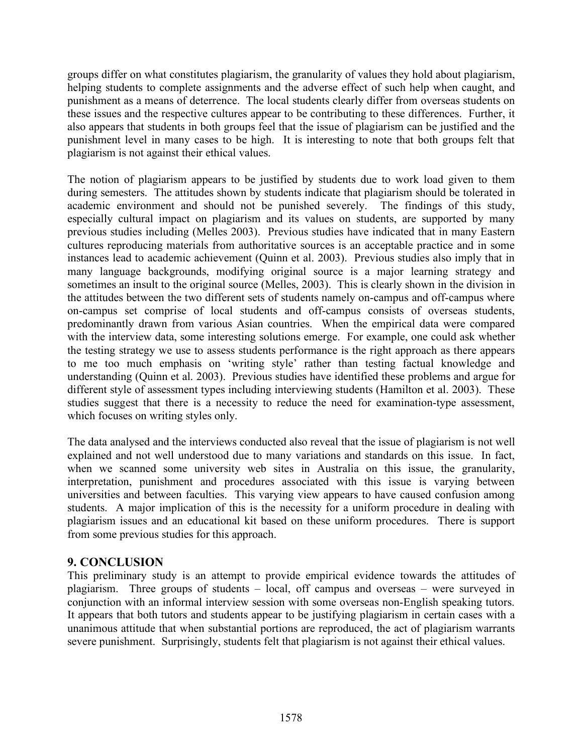groups differ on what constitutes plagiarism, the granularity of values they hold about plagiarism, helping students to complete assignments and the adverse effect of such help when caught, and punishment as a means of deterrence. The local students clearly differ from overseas students on these issues and the respective cultures appear to be contributing to these differences. Further, it also appears that students in both groups feel that the issue of plagiarism can be justified and the punishment level in many cases to be high. It is interesting to note that both groups felt that plagiarism is not against their ethical values.

The notion of plagiarism appears to be justified by students due to work load given to them during semesters. The attitudes shown by students indicate that plagiarism should be tolerated in academic environment and should not be punished severely. The findings of this study, especially cultural impact on plagiarism and its values on students, are supported by many previous studies including (Melles 2003). Previous studies have indicated that in many Eastern cultures reproducing materials from authoritative sources is an acceptable practice and in some instances lead to academic achievement (Quinn et al. 2003). Previous studies also imply that in many language backgrounds, modifying original source is a major learning strategy and sometimes an insult to the original source (Melles, 2003). This is clearly shown in the division in the attitudes between the two different sets of students namely on-campus and off-campus where on-campus set comprise of local students and off-campus consists of overseas students, predominantly drawn from various Asian countries. When the empirical data were compared with the interview data, some interesting solutions emerge. For example, one could ask whether the testing strategy we use to assess students performance is the right approach as there appears to me too much emphasis on 'writing style' rather than testing factual knowledge and understanding (Quinn et al. 2003). Previous studies have identified these problems and argue for different style of assessment types including interviewing students (Hamilton et al. 2003). These studies suggest that there is a necessity to reduce the need for examination-type assessment, which focuses on writing styles only.

The data analysed and the interviews conducted also reveal that the issue of plagiarism is not well explained and not well understood due to many variations and standards on this issue. In fact, when we scanned some university web sites in Australia on this issue, the granularity, interpretation, punishment and procedures associated with this issue is varying between universities and between faculties. This varying view appears to have caused confusion among students. A major implication of this is the necessity for a uniform procedure in dealing with plagiarism issues and an educational kit based on these uniform procedures. There is support from some previous studies for this approach.

#### **9. CONCLUSION**

This preliminary study is an attempt to provide empirical evidence towards the attitudes of plagiarism. Three groups of students – local, off campus and overseas – were surveyed in conjunction with an informal interview session with some overseas non-English speaking tutors. It appears that both tutors and students appear to be justifying plagiarism in certain cases with a unanimous attitude that when substantial portions are reproduced, the act of plagiarism warrants severe punishment. Surprisingly, students felt that plagiarism is not against their ethical values.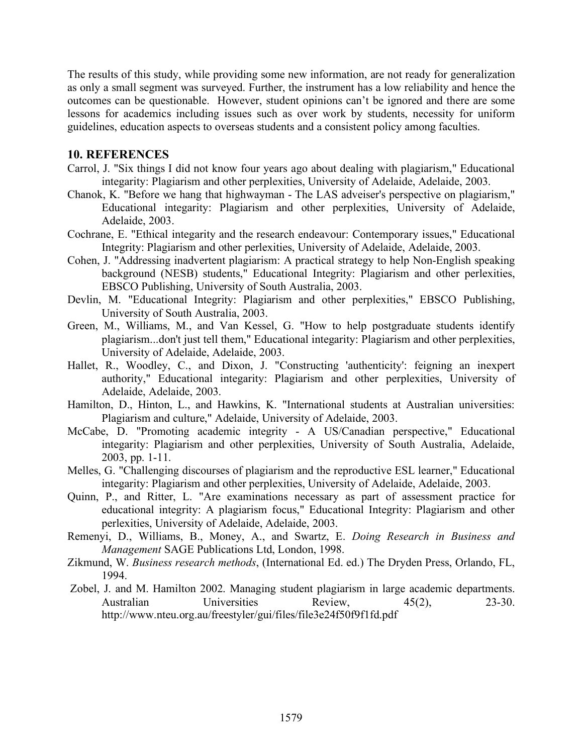The results of this study, while providing some new information, are not ready for generalization as only a small segment was surveyed. Further, the instrument has a low reliability and hence the outcomes can be questionable. However, student opinions can't be ignored and there are some lessons for academics including issues such as over work by students, necessity for uniform guidelines, education aspects to overseas students and a consistent policy among faculties.

#### **10. REFERENCES**

- Carrol, J. "Six things I did not know four years ago about dealing with plagiarism," Educational integarity: Plagiarism and other perplexities, University of Adelaide, Adelaide, 2003.
- Chanok, K. "Before we hang that highwayman The LAS adveiser's perspective on plagiarism," Educational integarity: Plagiarism and other perplexities, University of Adelaide, Adelaide, 2003.
- Cochrane, E. "Ethical integarity and the research endeavour: Contemporary issues," Educational Integrity: Plagiarism and other perlexities, University of Adelaide, Adelaide, 2003.
- Cohen, J. "Addressing inadvertent plagiarism: A practical strategy to help Non-English speaking background (NESB) students," Educational Integrity: Plagiarism and other perlexities, EBSCO Publishing, University of South Australia, 2003.
- Devlin, M. "Educational Integrity: Plagiarism and other perplexities," EBSCO Publishing, University of South Australia, 2003.
- Green, M., Williams, M., and Van Kessel, G. "How to help postgraduate students identify plagiarism...don't just tell them," Educational integarity: Plagiarism and other perplexities, University of Adelaide, Adelaide, 2003.
- Hallet, R., Woodley, C., and Dixon, J. "Constructing 'authenticity': feigning an inexpert authority," Educational integarity: Plagiarism and other perplexities, University of Adelaide, Adelaide, 2003.
- Hamilton, D., Hinton, L., and Hawkins, K. "International students at Australian universities: Plagiarism and culture," Adelaide, University of Adelaide, 2003.
- McCabe, D. "Promoting academic integrity A US/Canadian perspective," Educational integarity: Plagiarism and other perplexities, University of South Australia, Adelaide, 2003, pp. 1-11.
- Melles, G. "Challenging discourses of plagiarism and the reproductive ESL learner," Educational integarity: Plagiarism and other perplexities, University of Adelaide, Adelaide, 2003.
- Quinn, P., and Ritter, L. "Are examinations necessary as part of assessment practice for educational integrity: A plagiarism focus," Educational Integrity: Plagiarism and other perlexities, University of Adelaide, Adelaide, 2003.
- Remenyi, D., Williams, B., Money, A., and Swartz, E. *Doing Research in Business and Management* SAGE Publications Ltd, London, 1998.
- Zikmund, W. *Business research methods*, (International Ed. ed.) The Dryden Press, Orlando, FL, 1994.
- Zobel, J. and M. Hamilton 2002. Managing student plagiarism in large academic departments. Australian Universities Review, 45(2), 23-30. http://www.nteu.org.au/freestyler/gui/files/file3e24f50f9f1fd.pdf